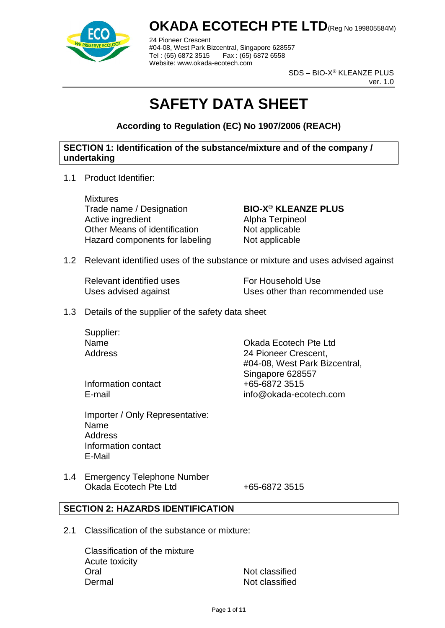

24 Pioneer Crescent #04-08, West Park Bizcentral, Singapore 628557 Tel : (65) 6872 3515 Fax : (65) 6872 6558 Website: www.okada-ecotech.com

> SDS – BIO-X® KLEANZE PLUS ver. 1.0

# **SAFETY DATA SHEET**

**According to Regulation (EC) No 1907/2006 (REACH)**

#### **SECTION 1: Identification of the substance/mixture and of the company / undertaking**

1.1 Product Identifier:

**Mixtures** Trade name / Designation **BIO-X® KLEANZE PLUS** Active ingredient **Alpha Terpineol** Other Means of identification Not applicable Hazard components for labeling Not applicable

1.2 Relevant identified uses of the substance or mixture and uses advised against

Relevant identified uses For Household Use

Uses advised against Uses other than recommended use

1.3 Details of the supplier of the safety data sheet

Supplier:

Name Okada Ecotech Pte Ltd Address 24 Pioneer Crescent, #04-08, West Park Bizcentral, Singapore 628557 E-mail info@okada-ecotech.com

Information contact  $+65-68723515$ 

Importer / Only Representative: Name **Address** Information contact E-Mail

1.4 Emergency Telephone Number Okada Ecotech Pte Ltd +65-6872 3515

#### **SECTION 2: HAZARDS IDENTIFICATION**

2.1 Classification of the substance or mixture:

Classification of the mixture Acute toxicity Oral Not classified Dermal Not classified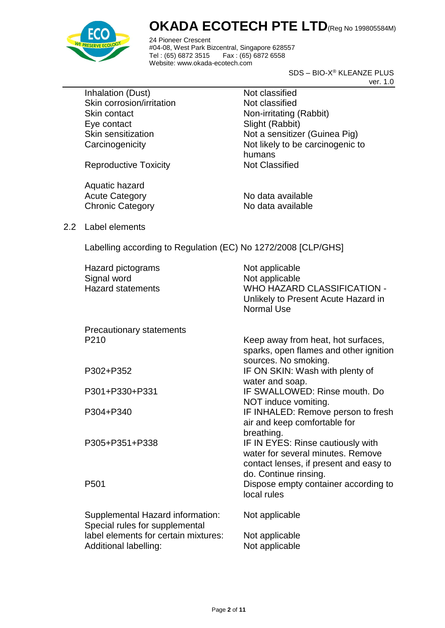

24 Pioneer Crescent #04-08, West Park Bizcentral, Singapore 628557 Fax : (65) 6872 6558 Website: www.okada-ecotech.com

> SDS – BIO-X® KLEANZE PLUS ver. 1.0

Inhalation (Dust) Not classified Skin corrosion/irritation Not classified Skin contact Non-irritating (Rabbit) Eye contact Slight (Rabbit)

Skin sensitization Not a sensitizer (Guinea Pig) Carcinogenicity **Not likely to be carcinogenic to** humans

Reproductive Toxicity Not Classified

Aquatic hazard Acute Category No data available Chronic Category No data available

2.2 Label elements

Labelling according to Regulation (EC) No 1272/2008 [CLP/GHS]

| Hazard pictograms<br>Signal word<br><b>Hazard statements</b>       | Not applicable<br>Not applicable<br><b>WHO HAZARD CLASSIFICATION -</b><br>Unlikely to Present Acute Hazard in<br>Normal Use |
|--------------------------------------------------------------------|-----------------------------------------------------------------------------------------------------------------------------|
| Precautionary statements                                           |                                                                                                                             |
| P <sub>210</sub>                                                   | Keep away from heat, hot surfaces,<br>sparks, open flames and other ignition<br>sources. No smoking.                        |
| P302+P352                                                          | IF ON SKIN: Wash with plenty of<br>water and soap.                                                                          |
| P301+P330+P331                                                     | IF SWALLOWED: Rinse mouth, Do<br>NOT induce vomiting.                                                                       |
| P304+P340                                                          | IF INHALED: Remove person to fresh<br>air and keep comfortable for<br>breathing.                                            |
| P305+P351+P338                                                     | IF IN EYES: Rinse cautiously with<br>water for several minutes. Remove<br>contact lenses, if present and easy to            |
| P <sub>501</sub>                                                   | do. Continue rinsing.<br>Dispose empty container according to<br>local rules                                                |
| Supplemental Hazard information:<br>Special rules for supplemental | Not applicable                                                                                                              |
| label elements for certain mixtures:<br>Additional labelling:      | Not applicable<br>Not applicable                                                                                            |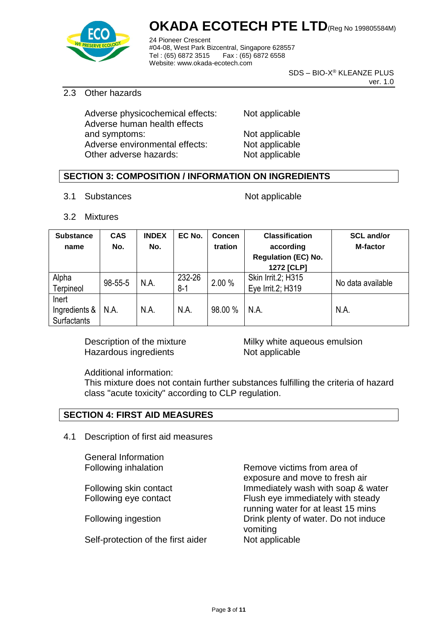

24 Pioneer Crescent #04-08, West Park Bizcentral, Singapore 628557 Tel: (65) 6872 3515 Website: www.okada-ecotech.com

> SDS – BIO-X® KLEANZE PLUS ver. 1.0

#### 2.3 Other hazards

Adverse physicochemical effects: Not applicable Adverse human health effects and symptoms: Not applicable Adverse environmental effects: Not applicable Other adverse hazards: Not applicable

#### **SECTION 3: COMPOSITION / INFORMATION ON INGREDIENTS**

3.1 Substances Not applicable

3.2 Mixtures

| <b>Substance</b>   | <b>CAS</b> | <b>INDEX</b> | EC No.                      | Concen             | <b>Classification</b>      | <b>SCL and/or</b> |
|--------------------|------------|--------------|-----------------------------|--------------------|----------------------------|-------------------|
| name               | No.        | No.          |                             | tration            | according                  | <b>M-factor</b>   |
|                    |            |              |                             |                    | <b>Regulation (EC) No.</b> |                   |
|                    |            |              |                             |                    | 1272 [CLP]                 |                   |
| Alpha              | 98-55-5    | N.A.         | 232-26<br>2.00 %<br>$8 - 1$ | Skin Irrit.2; H315 | No data available          |                   |
| Terpineol          |            |              |                             |                    | Eye Irrit.2; H319          |                   |
| Inert              |            |              |                             |                    |                            |                   |
| Ingredients &      | N.A.       | N.A.         | N.A.                        | 98.00 %            | N.A.                       | N.A.              |
| <b>Surfactants</b> |            |              |                             |                    |                            |                   |

Hazardous ingredients Not applicable

Description of the mixture **Milky** white aqueous emulsion

Additional information:

This mixture does not contain further substances fulfilling the criteria of hazard class "acute toxicity" according to CLP regulation.

#### **SECTION 4: FIRST AID MEASURES**

4.1 Description of first aid measures

General Information

Self-protection of the first aider Not applicable

Following inhalation **Remove victims from area of** exposure and move to fresh air Following skin contact Immediately wash with soap & water Following eye contact Flush eye immediately with steady running water for at least 15 mins Following ingestion **Drink plenty of water.** Do not induce vomiting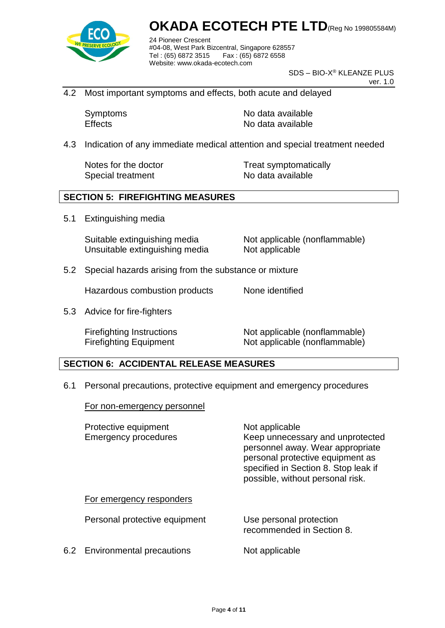

24 Pioneer Crescent #04-08, West Park Bizcentral, Singapore 628557 Fax : (65) 6872 6558 Website: www.okada-ecotech.com

> SDS – BIO-X® KLEANZE PLUS ver. 1.0

4.2 Most important symptoms and effects, both acute and delayed

Symptoms No data available Effects No data available

4.3 Indication of any immediate medical attention and special treatment needed

Special treatment No data available

Notes for the doctor Treat symptomatically

#### **SECTION 5: FIREFIGHTING MEASURES**

5.1 Extinguishing media

Suitable extinguishing media Not applicable (nonflammable) Unsuitable extinguishing media Not applicable

5.2 Special hazards arising from the substance or mixture

Hazardous combustion products None identified

5.3 Advice for fire-fighters

Firefighting Instructions Not applicable (nonflammable) Firefighting Equipment Not applicable (nonflammable)

#### **SECTION 6: ACCIDENTAL RELEASE MEASURES**

6.1 Personal precautions, protective equipment and emergency procedures

For non-emergency personnel

| Protective equipment<br><b>Emergency procedures</b> | Not applicable<br>Keep unnecessary and unprotected<br>personnel away. Wear appropriate<br>personal protective equipment as<br>specified in Section 8. Stop leak if<br>possible, without personal risk. |
|-----------------------------------------------------|--------------------------------------------------------------------------------------------------------------------------------------------------------------------------------------------------------|
| For emergency responders                            |                                                                                                                                                                                                        |
| Personal protective equipment                       | Use personal protection<br>recommended in Section 8.                                                                                                                                                   |
| 6.2 Environmental precautions                       | Not applicable                                                                                                                                                                                         |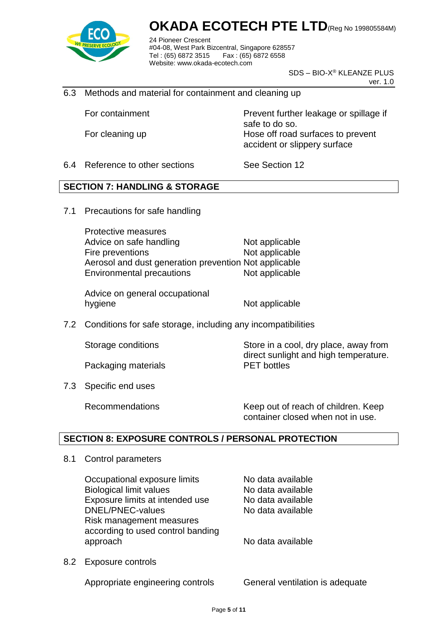

24 Pioneer Crescent #04-08, West Park Bizcentral, Singapore 628557 Fax: (65) 6872 6558 Website: www.okada-ecotech.com

> SDS – BIO-X® KLEANZE PLUS ver. 1.0

6.3 Methods and material for containment and cleaning up

For containment Prevent further leakage or spillage if safe to do so. For cleaning up **Hose off road surfaces to prevent** accident or slippery surface

6.4 Reference to other sections See Section 12

#### **SECTION 7: HANDLING & STORAGE**

7.1 Precautions for safe handling

Protective measures Advice on safe handling Not applicable Fire preventions Not applicable Aerosol and dust generation prevention Not applicable Environmental precautions Not applicable

Advice on general occupational hygiene Not applicable

7.2 Conditions for safe storage, including any incompatibilities

Packaging materials **PET** bottles

7.3 Specific end uses

Storage conditions Store in a cool, dry place, away from direct sunlight and high temperature.

Recommendations Keep out of reach of children. Keep container closed when not in use.

#### **SECTION 8: EXPOSURE CONTROLS / PERSONAL PROTECTION**

8.1 Control parameters

Occupational exposure limits No data available Biological limit values No data available Exposure limits at intended use No data available DNEL/PNEC-values No data available Risk management measures according to used control banding approach approach approach no ben't be a vailable

8.2 Exposure controls

Appropriate engineering controls General ventilation is adequate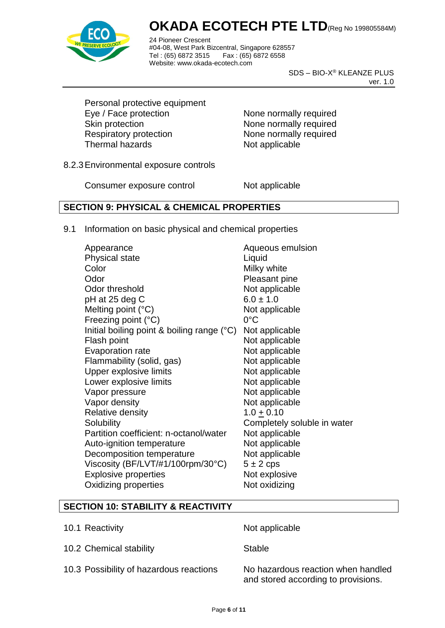

24 Pioneer Crescent #04-08, West Park Bizcentral, Singapore 628557 Fax: (65) 6872 6558 Website: www.okada-ecotech.com

> SDS – BIO-X® KLEANZE PLUS ver. 1.0

Personal protective equipment Eye / Face protection None normally required Skin protection None normally required Respiratory protection None normally required Thermal hazards Not applicable

8.2.3Environmental exposure controls

Consumer exposure control Not applicable

#### **SECTION 9: PHYSICAL & CHEMICAL PROPERTIES**

9.1 Information on basic physical and chemical properties

Appearance Appearance Aqueous emulsion Physical state Liquid Color Milky white Odor Pleasant pine Odor threshold Not applicable  $pH$  at 25 deg C 6.0  $\pm$  1.0 Melting point  $(^{\circ}C)$  Not applicable Freezing point (°C) 0°C Initial boiling point & boiling range (°C) Not applicable Flash point Not applicable Evaporation rate Not applicable Flammability (solid, gas) Not applicable Upper explosive limits Not applicable Lower explosive limits Not applicable Vapor pressure Not applicable Vapor density Not applicable Relative density 1.0 + 0.10 Solubility Completely soluble in water Partition coefficient: n-octanol/water Not applicable Auto-ignition temperature Not applicable Decomposition temperature Not applicable Viscosity (BF/LVT/#1/100rpm/30°C)  $5 \pm 2$  cps Explosive properties Not explosive Oxidizing properties Not oxidizing

#### **SECTION 10: STABILITY & REACTIVITY**

- 10.1 Reactivity **Not** applicable
- 10.2 Chemical stability Stable

10.3 Possibility of hazardous reactions No hazardous reaction when handled

and stored according to provisions.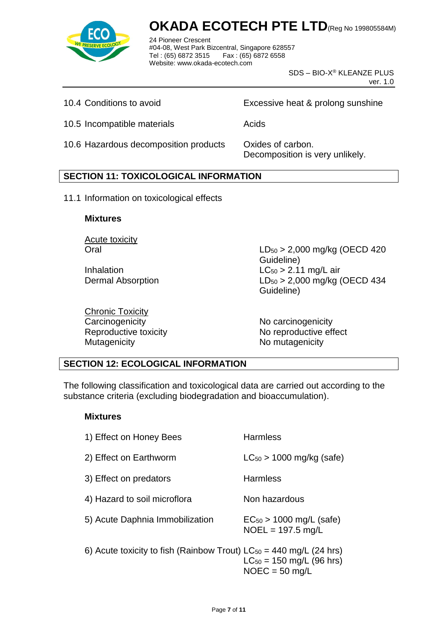

24 Pioneer Crescent #04-08, West Park Bizcentral, Singapore 628557 Fax : (65) 6872 6558 Website: www.okada-ecotech.com

> SDS – BIO-X® KLEANZE PLUS ver. 1.0

10.4 Conditions to avoid Excessive heat & prolong sunshine

10.5 Incompatible materials **Acids** Acids

10.6 Hazardous decomposition products Oxides of carbon.

Decomposition is very unlikely.

#### **SECTION 11: TOXICOLOGICAL INFORMATION**

11.1 Information on toxicological effects

#### **Mixtures**

Acute toxicity

Chronic Toxicity Carcinogenicity **No carcinogenicity** No carcinogenicity Mutagenicity Mutagenicity Momutagenicity

Oral LD<sup>50</sup> > 2,000 mg/kg (OECD 420 Guideline) Inhalation  $LC_{50} > 2.11$  mg/L air Dermal Absorption LD<sub>50</sub> > 2,000 mg/kg (OECD 434 Guideline)

Reproductive toxicity No reproductive effect

#### **SECTION 12: ECOLOGICAL INFORMATION**

The following classification and toxicological data are carried out according to the substance criteria (excluding biodegradation and bioaccumulation).

#### **Mixtures**

| 1) Effect on Honey Bees                                                 | <b>Harmless</b>                                     |
|-------------------------------------------------------------------------|-----------------------------------------------------|
| 2) Effect on Earthworm                                                  | $LC_{50}$ > 1000 mg/kg (safe)                       |
| 3) Effect on predators                                                  | <b>Harmless</b>                                     |
| 4) Hazard to soil microflora                                            | Non hazardous                                       |
| 5) Acute Daphnia Immobilization                                         | $EC_{50}$ > 1000 mg/L (safe)<br>$NOEL = 197.5$ mg/L |
| 6) Acute toxicity to fish (Rainbow Trout) $LC_{50} = 440$ mg/L (24 hrs) | $LC_{50} = 150$ mg/L (96 hrs)<br>$NOEC = 50$ mg/L   |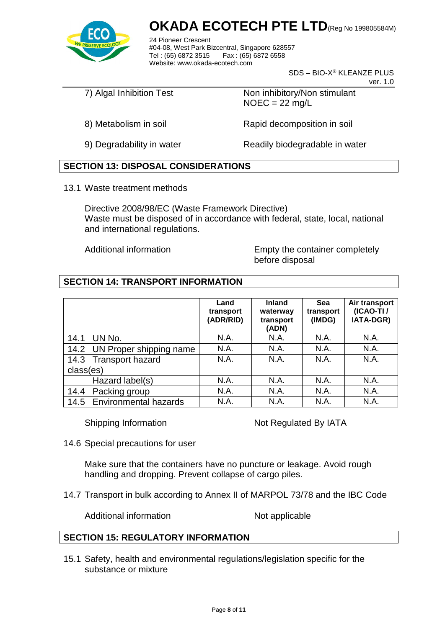

24 Pioneer Crescent #04-08, West Park Bizcentral, Singapore 628557 Fax : (65) 6872 6558 Website: www.okada-ecotech.com

SDS – BIO-X® KLEANZE PLUS

ver. 1.0

7) Algal Inhibition Test Non inhibitory/Non stimulant  $NOEC = 22$  mg/L

8) Metabolism in soil **Rapid decomposition in soil** 

9) Degradability in water Readily biodegradable in water

#### **SECTION 13: DISPOSAL CONSIDERATIONS**

13.1 Waste treatment methods

Directive 2008/98/EC (Waste Framework Directive) Waste must be disposed of in accordance with federal, state, local, national and international regulations.

Additional information Empty the container completely before disposal

#### **SECTION 14: TRANSPORT INFORMATION**

|                              | Land<br>transport<br>(ADR/RID) | <b>Inland</b><br>waterway<br>transport<br>(ADN) | Sea<br>transport<br>(IMDG) | Air transport<br>(ICAO-TI/<br>IATA-DGR) |
|------------------------------|--------------------------------|-------------------------------------------------|----------------------------|-----------------------------------------|
| UN No.<br>14.1               | N.A.                           | N.A.                                            | N.A.                       | N.A.                                    |
| 14.2 UN Proper shipping name | N.A.                           | N.A.                                            | N.A.                       | N.A.                                    |
| 14.3 Transport hazard        | N.A.                           | N.A.                                            | N.A.                       | N.A.                                    |
| class(es)                    |                                |                                                 |                            |                                         |
| Hazard label(s)              | N.A.                           | N.A.                                            | N.A.                       | N.A.                                    |
| Packing group<br>14.4        | N.A.                           | N.A.                                            | N.A.                       | <b>N.A.</b>                             |
| 14.5 Environmental hazards   | N.A.                           | N.A.                                            | N.A.                       | N.A.                                    |

Shipping Information Not Regulated By IATA

14.6 Special precautions for user

Make sure that the containers have no puncture or leakage. Avoid rough handling and dropping. Prevent collapse of cargo piles.

14.7 Transport in bulk according to Annex II of MARPOL 73/78 and the IBC Code

Additional information Not applicable

#### **SECTION 15: REGULATORY INFORMATION**

15.1 Safety, health and environmental regulations/legislation specific for the substance or mixture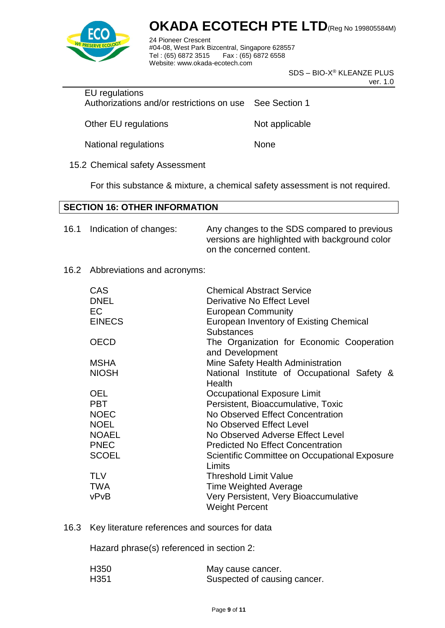

24 Pioneer Crescent #04-08, West Park Bizcentral, Singapore 628557 Fax : (65) 6872 6558 Website: www.okada-ecotech.com

> SDS – BIO-X® KLEANZE PLUS ver. 1.0

EU regulations Authorizations and/or restrictions on use See Section 1

Other EU regulations Not applicable

National regulations None

15.2 Chemical safety Assessment

For this substance & mixture, a chemical safety assessment is not required.

#### **SECTION 16: OTHER INFORMATION**

| 16.1 | Indication of changes: | Any changes to the SDS compared to previous    |
|------|------------------------|------------------------------------------------|
|      |                        | versions are highlighted with background color |
|      |                        | on the concerned content.                      |

#### 16.2 Abbreviations and acronyms:

| <b>CAS</b><br><b>DNEL</b> | <b>Chemical Abstract Service</b><br>Derivative No Effect Level |
|---------------------------|----------------------------------------------------------------|
| EC                        | <b>European Community</b>                                      |
| <b>EINECS</b>             | European Inventory of Existing Chemical<br><b>Substances</b>   |
| <b>OECD</b>               | The Organization for Economic Cooperation<br>and Development   |
| <b>MSHA</b>               | Mine Safety Health Administration                              |
| <b>NIOSH</b>              | National Institute of Occupational Safety &<br>Health          |
| <b>OEL</b>                | Occupational Exposure Limit                                    |
| <b>PBT</b>                | Persistent, Bioaccumulative, Toxic                             |
| <b>NOEC</b>               | No Observed Effect Concentration                               |
| <b>NOEL</b>               | No Observed Effect Level                                       |
| <b>NOAEL</b>              | No Observed Adverse Effect Level                               |
| <b>PNEC</b>               | <b>Predicted No Effect Concentration</b>                       |
| <b>SCOEL</b>              | Scientific Committee on Occupational Exposure<br>Limits        |
| <b>TLV</b>                | Threshold Limit Value                                          |
| TWA                       | <b>Time Weighted Average</b>                                   |
| vPvB                      | Very Persistent, Very Bioaccumulative<br><b>Weight Percent</b> |

16.3 Key literature references and sources for data

Hazard phrase(s) referenced in section 2:

| H <sub>350</sub> | May cause cancer.            |
|------------------|------------------------------|
| H <sub>351</sub> | Suspected of causing cancer. |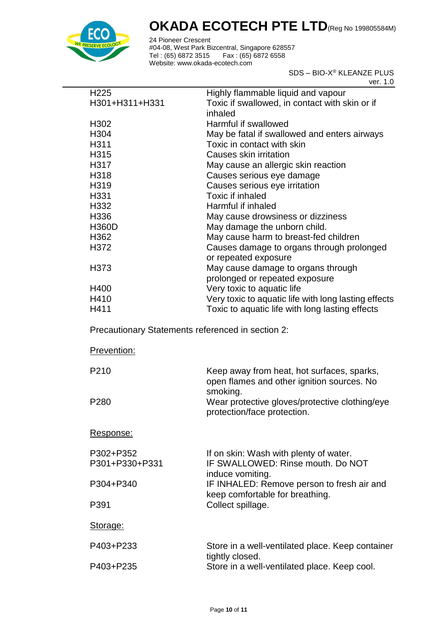

24 Pioneer Crescent #04-08, West Park Bizcentral, Singapore 628557 Tel : (65) 6872 3515 Fax : (65) 6872 6558 Website: www.okada-ecotech.com

> SDS – BIO-X® KLEANZE PLUS ver. 1.0

| H <sub>225</sub> | Highly flammable liquid and vapour                   |
|------------------|------------------------------------------------------|
| H301+H311+H331   | Toxic if swallowed, in contact with skin or if       |
|                  | inhaled                                              |
| H <sub>302</sub> | Harmful if swallowed                                 |
| H <sub>304</sub> | May be fatal if swallowed and enters airways         |
| H311             | Toxic in contact with skin                           |
| H315             | Causes skin irritation                               |
| H317             | May cause an allergic skin reaction                  |
| H318             | Causes serious eye damage                            |
| H319             | Causes serious eye irritation                        |
| H331             | Toxic if inhaled                                     |
| H332             | Harmful if inhaled                                   |
| H336             | May cause drowsiness or dizziness                    |
| <b>H360D</b>     | May damage the unborn child.                         |
| H <sub>362</sub> | May cause harm to breast-fed children                |
| H372             | Causes damage to organs through prolonged            |
|                  | or repeated exposure                                 |
| H373             | May cause damage to organs through                   |
|                  | prolonged or repeated exposure                       |
| H400             | Very toxic to aquatic life                           |
| H410             | Very toxic to aquatic life with long lasting effects |
| H411             | Toxic to aquatic life with long lasting effects      |

Precautionary Statements referenced in section 2:

| Prevention:                 |                                                                                                 |
|-----------------------------|-------------------------------------------------------------------------------------------------|
| P <sub>210</sub>            | Keep away from heat, hot surfaces, sparks,<br>open flames and other ignition sources. No        |
| P <sub>280</sub>            | smoking.<br>Wear protective gloves/protective clothing/eye<br>protection/face protection.       |
| Response:                   |                                                                                                 |
| P302+P352<br>P301+P330+P331 | If on skin: Wash with plenty of water.<br>IF SWALLOWED: Rinse mouth. Do NOT<br>induce vomiting. |
| P304+P340                   | IF INHALED: Remove person to fresh air and<br>keep comfortable for breathing.                   |
| P391                        | Collect spillage.                                                                               |
| Storage:                    |                                                                                                 |
| P403+P233                   | Store in a well-ventilated place. Keep container<br>tightly closed.                             |
| P403+P235                   | Store in a well-ventilated place. Keep cool.                                                    |